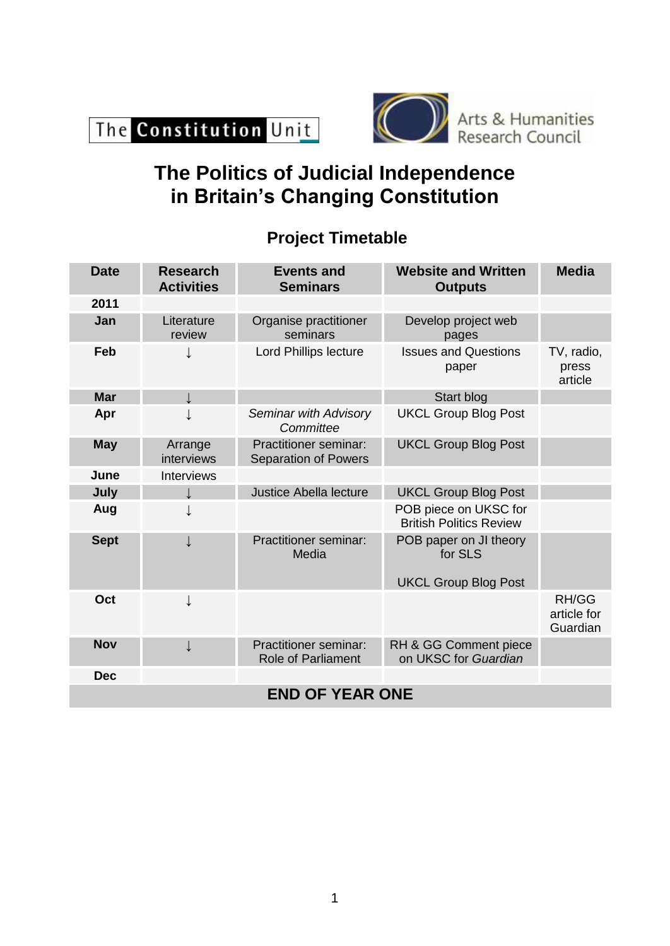



# **The Politics of Judicial Independence in Britain's Changing Constitution**

## **Project Timetable**

| <b>Date</b>            | <b>Research</b><br><b>Activities</b> | <b>Events and</b><br><b>Seminars</b>                        | <b>Website and Written</b><br><b>Outputs</b>                     | <b>Media</b>                     |  |
|------------------------|--------------------------------------|-------------------------------------------------------------|------------------------------------------------------------------|----------------------------------|--|
| 2011                   |                                      |                                                             |                                                                  |                                  |  |
| Jan                    | Literature<br>review                 | Organise practitioner<br>seminars                           | Develop project web<br>pages                                     |                                  |  |
| Feb                    |                                      | <b>Lord Phillips lecture</b>                                | <b>Issues and Questions</b><br>paper                             | TV, radio,<br>press<br>article   |  |
| <b>Mar</b>             |                                      |                                                             | Start blog                                                       |                                  |  |
| Apr                    | ↓                                    | Seminar with Advisory<br>Committee                          | <b>UKCL Group Blog Post</b>                                      |                                  |  |
| <b>May</b>             | Arrange<br>interviews                | <b>Practitioner seminar:</b><br><b>Separation of Powers</b> | <b>UKCL Group Blog Post</b>                                      |                                  |  |
| June                   | Interviews                           |                                                             |                                                                  |                                  |  |
| July                   |                                      | Justice Abella lecture                                      | <b>UKCL Group Blog Post</b>                                      |                                  |  |
| Aug                    | ↓                                    |                                                             | POB piece on UKSC for<br><b>British Politics Review</b>          |                                  |  |
| <b>Sept</b>            | $\downarrow$                         | <b>Practitioner seminar:</b><br>Media                       | POB paper on JI theory<br>for SLS<br><b>UKCL Group Blog Post</b> |                                  |  |
| Oct                    | ↓                                    |                                                             |                                                                  | RH/GG<br>article for<br>Guardian |  |
| <b>Nov</b>             | $\downarrow$                         | <b>Practitioner seminar:</b><br><b>Role of Parliament</b>   | RH & GG Comment piece<br>on UKSC for Guardian                    |                                  |  |
| <b>Dec</b>             |                                      |                                                             |                                                                  |                                  |  |
| <b>END OF YEAR ONE</b> |                                      |                                                             |                                                                  |                                  |  |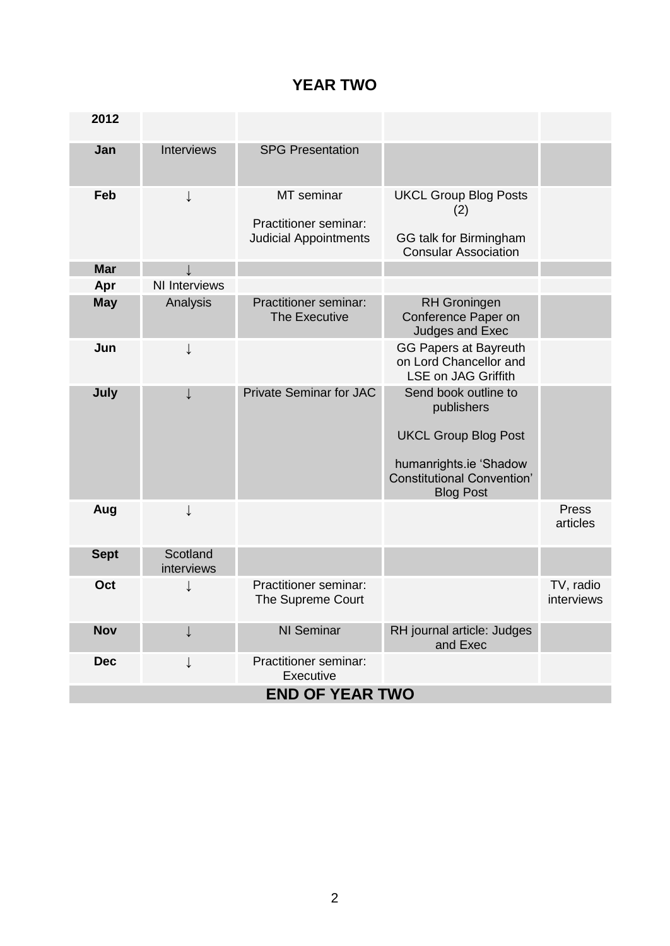#### **YEAR TWO**

| 2012                   |                        |                                                                     |                                                                                                                                                      |                         |  |
|------------------------|------------------------|---------------------------------------------------------------------|------------------------------------------------------------------------------------------------------------------------------------------------------|-------------------------|--|
| Jan                    | Interviews             | <b>SPG Presentation</b>                                             |                                                                                                                                                      |                         |  |
| Feb                    | ↓                      | MT seminar<br>Practitioner seminar:<br><b>Judicial Appointments</b> | <b>UKCL Group Blog Posts</b><br>(2)<br>GG talk for Birmingham<br><b>Consular Association</b>                                                         |                         |  |
| <b>Mar</b>             |                        |                                                                     |                                                                                                                                                      |                         |  |
| Apr                    | <b>NI Interviews</b>   |                                                                     |                                                                                                                                                      |                         |  |
| <b>May</b>             | Analysis               | <b>Practitioner seminar:</b><br><b>The Executive</b>                | <b>RH</b> Groningen<br>Conference Paper on<br>Judges and Exec                                                                                        |                         |  |
| Jun                    | $\downarrow$           |                                                                     | <b>GG Papers at Bayreuth</b><br>on Lord Chancellor and<br><b>LSE on JAG Griffith</b>                                                                 |                         |  |
| July                   |                        | <b>Private Seminar for JAC</b>                                      | Send book outline to<br>publishers<br><b>UKCL Group Blog Post</b><br>humanrights.ie 'Shadow<br><b>Constitutional Convention'</b><br><b>Blog Post</b> |                         |  |
| Aug                    | ↓                      |                                                                     |                                                                                                                                                      | Press<br>articles       |  |
| <b>Sept</b>            | Scotland<br>interviews |                                                                     |                                                                                                                                                      |                         |  |
| Oct                    |                        | Practitioner seminar:<br>The Supreme Court                          |                                                                                                                                                      | TV, radio<br>interviews |  |
| <b>Nov</b>             |                        | <b>NI Seminar</b>                                                   | RH journal article: Judges<br>and Exec                                                                                                               |                         |  |
| <b>Dec</b>             | $\downarrow$           | Practitioner seminar:<br>Executive                                  |                                                                                                                                                      |                         |  |
| <b>END OF YEAR TWO</b> |                        |                                                                     |                                                                                                                                                      |                         |  |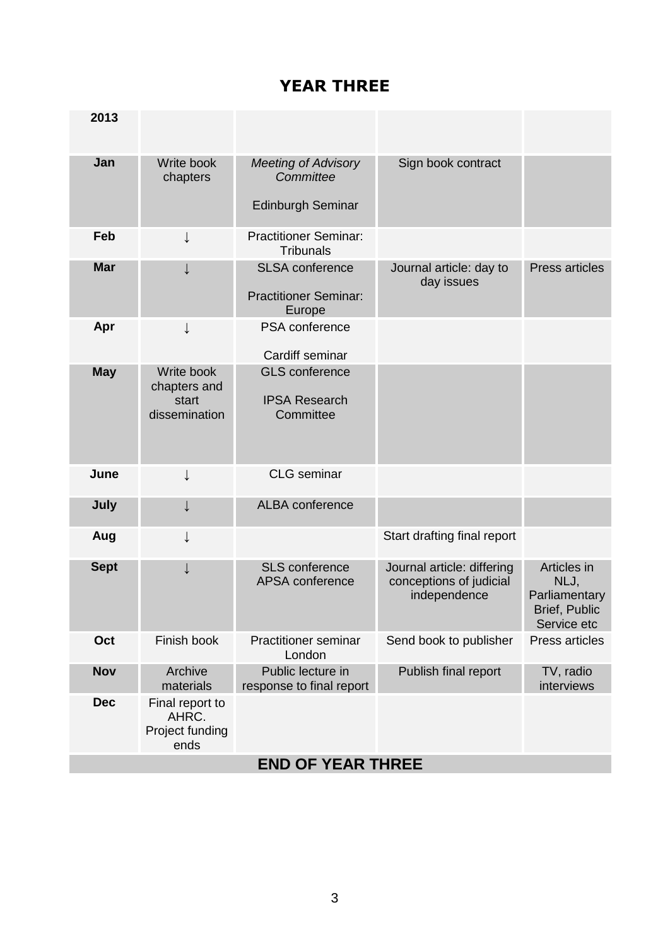#### **YEAR THREE**

| 2013                     |                                                      |                                                                     |                                                                       |                                                                             |
|--------------------------|------------------------------------------------------|---------------------------------------------------------------------|-----------------------------------------------------------------------|-----------------------------------------------------------------------------|
| Jan                      | Write book<br>chapters                               | <b>Meeting of Advisory</b><br>Committee<br><b>Edinburgh Seminar</b> | Sign book contract                                                    |                                                                             |
| Feb                      | ↓                                                    | <b>Practitioner Seminar:</b><br><b>Tribunals</b>                    |                                                                       |                                                                             |
| <b>Mar</b>               | ↓                                                    | <b>SLSA</b> conference<br><b>Practitioner Seminar:</b><br>Europe    | Journal article: day to<br>day issues                                 | Press articles                                                              |
| Apr                      | ↓                                                    | PSA conference<br>Cardiff seminar                                   |                                                                       |                                                                             |
| <b>May</b>               | Write book<br>chapters and<br>start<br>dissemination | <b>GLS</b> conference<br><b>IPSA Research</b><br>Committee          |                                                                       |                                                                             |
| June                     | ↓                                                    | <b>CLG</b> seminar                                                  |                                                                       |                                                                             |
| July                     | ↓                                                    | <b>ALBA</b> conference                                              |                                                                       |                                                                             |
| Aug                      | ↓                                                    |                                                                     | Start drafting final report                                           |                                                                             |
| <b>Sept</b>              | ↓                                                    | <b>SLS</b> conference<br>APSA conference                            | Journal article: differing<br>conceptions of judicial<br>independence | Articles in<br>NLJ,<br>Parliamentary<br><b>Brief, Public</b><br>Service etc |
| Oct                      | Finish book                                          | <b>Practitioner seminar</b><br>London                               | Send book to publisher                                                | Press articles                                                              |
| <b>Nov</b>               | Archive<br>materials                                 | Public lecture in<br>response to final report                       | Publish final report                                                  | TV, radio<br>interviews                                                     |
| <b>Dec</b>               | Final report to<br>AHRC.<br>Project funding<br>ends  |                                                                     |                                                                       |                                                                             |
| <b>END OF YEAR THREE</b> |                                                      |                                                                     |                                                                       |                                                                             |